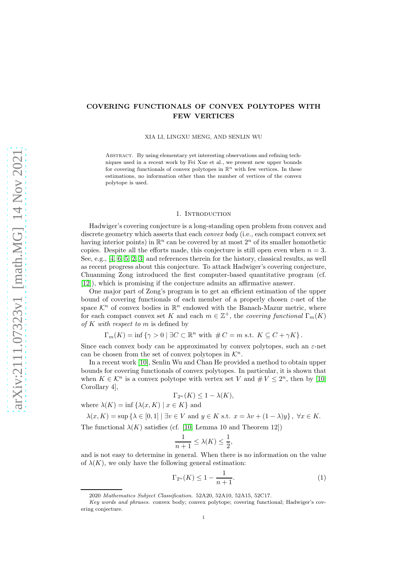## COVERING FUNCTIONALS OF CONVEX POLYTOPES WITH FEW VERTICES

XIA LI, LINGXU MENG, AND SENLIN WU

Abstract. By using elementary yet interesting observations and refining techniques used in a recent work by Fei Xue et al., we present new upper bounds for covering functionals of convex polytopes in  $\mathbb{R}^n$  with few vertices. In these estimations, no information other than the number of vertices of the convex polytope is used.

### 1. INTRODUCTION

Hadwiger's covering conjecture is a long-standing open problem from convex and discrete geometry which asserts that each *convex body* (i.e., each compact convex set having interior points) in  $\mathbb{R}^n$  can be covered by at most  $2^n$  of its smaller homothetic copies. Despite all the efforts made, this conjecture is still open even when  $n = 3$ . See, e.g., [\[4,](#page-8-0) [6,](#page-8-1) [5,](#page-8-2) [2,](#page-8-3) [3\]](#page-8-4) and references therein for the history, classical results, as well as recent progress about this conjecture. To attack Hadwiger's covering conjecture, Chuanming Zong introduced the first computer-based quantitative program (cf. [\[12\]](#page-9-0)), which is promising if the conjecture admits an affirmative answer.

One major part of Zong's program is to get an efficient estimation of the upper bound of covering functionals of each member of a properly chosen  $\varepsilon$ -net of the space  $\mathcal{K}^n$  of convex bodies in  $\mathbb{R}^n$  endowed with the Banach-Mazur metric, where for each compact convex set K and each  $m \in \mathbb{Z}^+$ , the covering functional  $\Gamma_m(K)$ of K with respect to m is defined by

$$
\Gamma_m(K) = \inf \left\{ \gamma > 0 \mid \exists C \subset \mathbb{R}^n \text{ with } \#C = m \text{ s.t. } K \subseteq C + \gamma K \right\}.
$$

Since each convex body can be approximated by convex polytopes, such an  $\varepsilon$ -net can be chosen from the set of convex polytopes in  $\mathcal{K}^n$ .

In a recent work [\[10\]](#page-9-1), Senlin Wu and Chan He provided a method to obtain upper bounds for covering functionals of convex polytopes. In particular, it is shown that when  $K \in \mathcal{K}^n$  is a convex polytope with vertex set V and  $\# V \leq 2^n$ , then by [\[10,](#page-9-1) Corollary 4],

$$
\Gamma_{2^n}(K) \le 1 - \lambda(K),
$$

where  $\lambda(K) = \inf \{ \lambda(x, K) \mid x \in K \}$  and

$$
\lambda(x, K) = \sup \{ \lambda \in [0, 1] \mid \exists v \in V \text{ and } y \in K \text{ s.t. } x = \lambda v + (1 - \lambda)y \}, \ \forall x \in K.
$$
  
The functional  $\lambda(K)$  satisfies (cf. [10, Lemma 10 and Theorem 12])

$$
\frac{1}{n+1} \le \lambda(K) \le \frac{1}{2},
$$

and is not easy to determine in general. When there is no information on the value of  $\lambda(K)$ , we only have the following general estimation:

<span id="page-0-0"></span>
$$
\Gamma_{2^n}(K) \le 1 - \frac{1}{n+1}.\tag{1}
$$

<sup>2020</sup> Mathematics Subject Classification. 52A20, 52A10, 52A15, 52C17.

Key words and phrases. convex body; convex polytope; covering functional; Hadwiger's covering conjecture.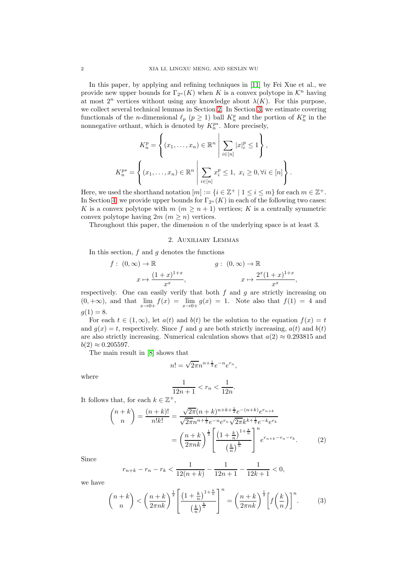In this paper, by applying and refining techniques in [\[11\]](#page-9-2) by Fei Xue et al., we provide new upper bounds for  $\Gamma_{2^n}(K)$  when K is a convex polytope in  $\mathcal{K}^n$  having at most  $2^n$  vertices without using any knowledge about  $\lambda(K)$ . For this purpose, we collect several technical lemmas in Section [2.](#page-1-0) In Section [3,](#page-3-0) we estimate covering functionals of the *n*-dimensional  $\ell_p$  ( $p \geq 1$ ) ball  $K_n^p$  and the portion of  $K_n^p$  in the nonnegative orthant, which is denoted by  $K_n^{p*}$ . More precisely,

$$
K_n^p = \left\{ (x_1, \dots, x_n) \in \mathbb{R}^n \middle| \sum_{i \in [n]} |x|_i^p \le 1 \right\},\newline K_n^{p*} = \left\{ (x_1, \dots, x_n) \in \mathbb{R}^n \middle| \sum_{i \in [n]} x_i^p \le 1, \ x_i \ge 0, \forall i \in [n] \right\}.
$$

Here, we used the shorthand notation  $[m] := \{i \in \mathbb{Z}^+ \mid 1 \leq i \leq m\}$  for each  $m \in \mathbb{Z}^+$ . In Section [4,](#page-6-0) we provide upper bounds for  $\Gamma_{2^n}(K)$  in each of the following two cases: K is a convex polytope with  $m (m \geq n+1)$  vertices; K is a centrally symmetric convex polytope having  $2m$   $(m \geq n)$  vertices.

<span id="page-1-0"></span>Throughout this paper, the dimension  $n$  of the underlying space is at least 3.

### 2. Auxiliary Lemmas

In this section,  $f$  and  $g$  denotes the functions

$$
f: (0, \infty) \to \mathbb{R}
$$
  

$$
x \mapsto \frac{(1+x)^{1+x}}{x^x}, \qquad g: (0, \infty) \to \mathbb{R}
$$
  

$$
x \mapsto \frac{2^x(1+x)^{1+x}}{x^x},
$$

respectively. One can easily verify that both  $f$  and  $g$  are strictly increasing on  $(0, +\infty)$ , and that  $\lim_{x\to 0+} f(x) = \lim_{x\to 0+} g(x) = 1$ . Note also that  $f(1) = 4$  and  $g(1) = 8.$ 

For each  $t \in (1,\infty)$ , let  $a(t)$  and  $b(t)$  be the solution to the equation  $f(x) = t$ and  $g(x) = t$ , respectively. Since f and g are both strictly increasing,  $a(t)$  and  $b(t)$ are also strictly increasing. Numerical calculation shows that  $a(2) \approx 0.293815$  and  $b(2) \approx 0.205597$ .

The main result in [\[8\]](#page-8-5) shows that

$$
n! = \sqrt{2\pi}n^{n + \frac{1}{2}}e^{-n}e^{r_n},
$$

where

$$
\frac{1}{12n+1} < r_n < \frac{1}{12n}.
$$

It follows that, for each  $k \in \mathbb{Z}^+$ ,

$$
\binom{n+k}{n} = \frac{(n+k)!}{n!k!} = \frac{\sqrt{2\pi}(n+k)^{n+k+\frac{1}{2}}e^{-(n+k)}e^{r_{n+k}}}{\sqrt{2\pi}n^{n+\frac{1}{2}}e^{-n}e^{r_n}\sqrt{2\pi}k^{k+\frac{1}{2}}e^{-k}e^{r_k}}
$$

$$
= \left(\frac{n+k}{2\pi nk}\right)^{\frac{1}{2}} \left[\frac{\left(1+\frac{k}{n}\right)^{1+\frac{k}{n}}}{\left(\frac{k}{n}\right)^{\frac{k}{n}}}\right]^{n}e^{r_{n+k}-r_n-r_k}.\tag{2}
$$

Since

$$
r_{n+k} - r_n - r_k < \frac{1}{12(n+k)} - \frac{1}{12n+1} - \frac{1}{12k+1} < 0,
$$

we have

<span id="page-1-1"></span>
$$
\binom{n+k}{n} < \left(\frac{n+k}{2\pi nk}\right)^{\frac{1}{2}} \left[\frac{\left(1+\frac{k}{n}\right)^{1+\frac{k}{n}}}{\left(\frac{k}{n}\right)^{\frac{k}{n}}}\right]^n = \left(\frac{n+k}{2\pi nk}\right)^{\frac{1}{2}} \left[f\left(\frac{k}{n}\right)\right]^n. \tag{3}
$$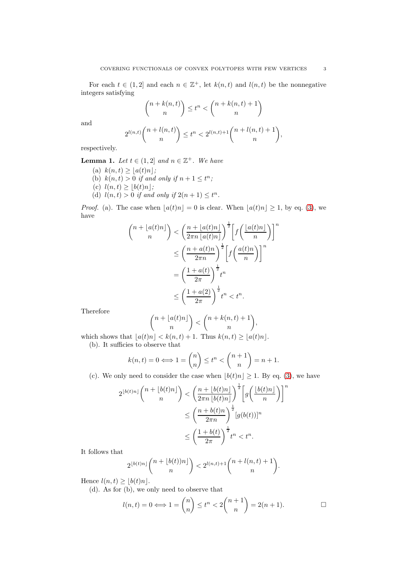For each  $t \in (1,2]$  and each  $n \in \mathbb{Z}^+$ , let  $k(n,t)$  and  $l(n,t)$  be the nonnegative integers satisfying

$$
\binom{n+k(n,t)}{n} \le t^n < \binom{n+k(n,t)+1}{n}
$$

and

$$
2^{l(n,t)} \binom{n + l(n,t)}{n} \le t^n < 2^{l(n,t)+1} \binom{n + l(n,t)+1}{n},
$$

<span id="page-2-1"></span>respectively.

**Lemma 1.** Let  $t \in (1,2]$  and  $n \in \mathbb{Z}^+$ . We have

- (a)  $k(n, t) \geq \lfloor a(t)n \rfloor;$
- (b)  $k(n,t) > 0$  if and only if  $n+1 \leq t^n$ ;
- (c)  $l(n, t) \geq \lfloor b(t)n \rfloor;$
- (d)  $l(n, t) > 0$  if and only if  $2(n + 1) \leq t^n$ .

*Proof.* (a). The case when  $[a(t)n] = 0$  is clear. When  $[a(t)n] \geq 1$ , by eq. [\(3\)](#page-1-1), we have

$$
\binom{n + \lfloor a(t)n \rfloor}{n} < \left(\frac{n + \lfloor a(t)n \rfloor}{2\pi n \lfloor a(t)n \rfloor}\right)^{\frac{1}{2}} \left[ f\left(\frac{\lfloor a(t)n \rfloor}{n}\right) \right]^n
$$
\n
$$
\leq \left(\frac{n + a(t)n}{2\pi n}\right)^{\frac{1}{2}} \left[ f\left(\frac{a(t)n}{n}\right) \right]^n
$$
\n
$$
= \left(\frac{1 + a(t)}{2\pi}\right)^{\frac{1}{2}} t^n
$$
\n
$$
\leq \left(\frac{1 + a(2)}{2\pi}\right)^{\frac{1}{2}} t^n < t^n.
$$

Therefore

$$
\binom{n+\lfloor a(t)n\rfloor}{n}<\binom{n+k(n,t)+1}{n},
$$

which shows that  $|a(t)n| < k(n,t) + 1$ . Thus  $k(n,t) \geq |a(t)n|$ . (b). It sufficies to observe that

$$
k(n,t) = 0 \Longleftrightarrow 1 = \binom{n}{n} \le t^n < \binom{n+1}{n} = n+1.
$$

(c). We only need to consider the case when  $\lfloor b(t)n \rfloor \geq 1$ . By eq. [\(3\)](#page-1-1), we have

$$
2^{\lfloor b(t)n \rfloor} {n + \lfloor b(t)n \rfloor \choose n} < \left(\frac{n + \lfloor b(t)n \rfloor}{2\pi n \lfloor b(t)n \rfloor}\right)^{\frac{1}{2}} \left[g\left(\frac{\lfloor b(t)n \rfloor}{n}\right)\right]^n
$$
\n
$$
\leq \left(\frac{n + b(t)n}{2\pi n}\right)^{\frac{1}{2}} [g(b(t))]^n
$$
\n
$$
\leq \left(\frac{1 + b(t)}{2\pi}\right)^{\frac{1}{2}} t^n < t^n.
$$

It follows that

$$
2^{\lfloor b(t)n\rfloor}\binom{n+\lfloor b(t))n\rfloor}{n} < 2^{l(n,t)+1}\binom{n+l(n,t)+1}{n}.
$$

Hence  $l(n, t) \geq |b(t)n|$ .

<span id="page-2-0"></span>(d). As for (b), we only need to observe that

$$
l(n,t) = 0 \Longleftrightarrow 1 = \binom{n}{n} \le t^n < 2\binom{n+1}{n} = 2(n+1). \qquad \Box
$$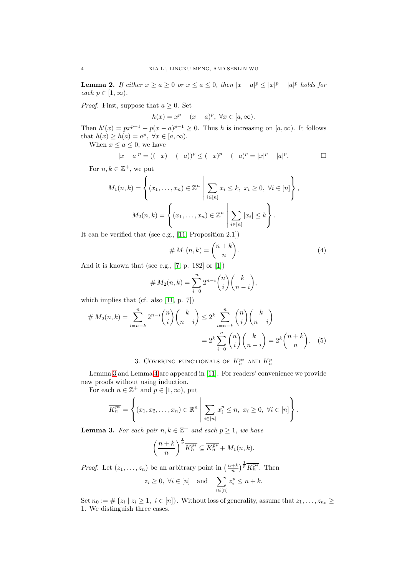**Lemma 2.** If either  $x \ge a \ge 0$  or  $x \le a \le 0$ , then  $|x - a|^p \le |x|^p - |a|^p$  holds for each  $p \in [1,\infty)$ .

*Proof.* First, suppose that  $a \geq 0$ . Set

$$
h(x) = xp - (x - a)p, \forall x \in [a, \infty).
$$

Then  $h'(x) = px^{p-1} - p(x - a)^{p-1} \ge 0$ . Thus h is increasing on  $[a, \infty)$ . It follows that  $h(x) \geq h(a) = a^p$ ,  $\forall x \in [a, \infty)$ .

When  $x \le a \le 0$ , we have

$$
|x - a|^p = ((-x) - (-a))^p \le (-x)^p - (-a)^p = |x|^p - |a|^p.
$$

For  $n, k \in \mathbb{Z}^+$ , we put

$$
M_1(n,k) = \left\{ (x_1, ..., x_n) \in \mathbb{Z}^n \; \middle| \; \sum_{i \in [n]} x_i \le k, \; x_i \ge 0, \; \forall i \in [n] \right\},
$$

$$
M_2(n,k) = \left\{ (x_1, ..., x_n) \in \mathbb{Z}^n \; \middle| \; \sum_{i \in [n]} |x_i| \le k \right\}.
$$

It can be verified that (see e.g., [\[11,](#page-9-2) Proposition 2.1])

$$
\# M_1(n,k) = \binom{n+k}{n}.\tag{4}
$$

And it is known that (see e.g., [\[7,](#page-8-6) p. 182] or [\[1\]](#page-8-7))

$$
\# M_2(n,k) = \sum_{i=0}^n 2^{n-i} \binom{n}{i} \binom{k}{n-i},
$$

which implies that (cf. also [\[11,](#page-9-2) p. 7])

$$
\# M_2(n,k) = \sum_{i=n-k}^n 2^{n-i} \binom{n}{i} \binom{k}{n-i} \le 2^k \sum_{i=n-k}^n \binom{n}{i} \binom{k}{n-i} = 2^k \sum_{i=0}^n \binom{n}{i} \binom{k}{n-i} = 2^k \binom{n+k}{n}.
$$
 (5)

# 3. COVERING FUNCTIONALS OF  $K_n^{p*}$  and  $K_n^p$

<span id="page-3-0"></span>Lemma [3](#page-3-1) and Lemma [4](#page-4-0) are appeared in [\[11\]](#page-9-2). For readers' convenience we provide new proofs without using induction.

For each  $n \in \mathbb{Z}^+$  and  $p \in [1, \infty)$ , put

$$
\overline{K_n^{p*}} = \left\{ (x_1, x_2, \dots, x_n) \in \mathbb{R}^n \; \middle| \; \sum_{i \in [n]} x_i^p \leq n, \; x_i \geq 0, \; \forall i \in [n] \right\}.
$$

<span id="page-3-1"></span>**Lemma 3.** For each pair  $n, k \in \mathbb{Z}^+$  and each  $p \geq 1$ , we have

$$
\left(\frac{n+k}{n}\right)^{\frac{1}{p}}\overline{K_n^{p*}} \subseteq \overline{K_n^{p*}} + M_1(n,k).
$$

*Proof.* Let  $(z_1, \ldots, z_n)$  be an arbitrary point in  $\left(\frac{n+k}{n}\right)^{\frac{1}{p}} \overline{K_n^{p*}}$ . Then  $z_i \geq 0, \ \forall i \in [n] \text{ and } \sum z_i^p \leq n+k.$ 

$$
z_i \geq 0, \forall i \in [n]
$$
 and  $\sum_{i \in [n]} z_i \geq n + \kappa$ .

Set  $n_0 := \#\{z_i \mid z_i \geq 1, i \in [n]\}\$ . Without loss of generality, assume that  $z_1, \ldots, z_{n_0} \geq$ 1. We distinguish three cases.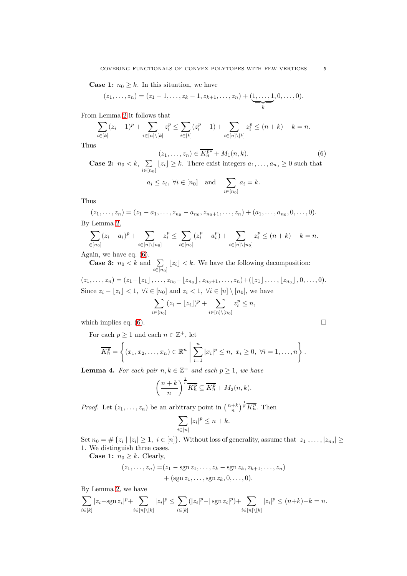**Case 1:**  $n_0 \geq k$ . In this situation, we have

$$
(z_1,..., z_n) = (z_1 - 1,..., z_k - 1, z_{k+1},..., z_n) + (\underbrace{1,..., 1}_{k}, 0,..., 0).
$$

From Lemma [2](#page-2-0) it follows that

$$
\sum_{i \in [k]} (z_i - 1)^p + \sum_{i \in [n] \setminus [k]} z_i^p \le \sum_{i \in [k]} (z_i^p - 1) + \sum_{i \in [n] \setminus [k]} z_i^p \le (n + k) - k = n.
$$

Thus

<span id="page-4-1"></span>
$$
(z_1, \ldots, z_n) \in \overline{K_n^{p*}} + M_1(n, k). \tag{6}
$$

Case 2:  $n_0 < k$ ,  $\sum$  $\sum_{i\in[n_0]} \lfloor z_i \rfloor \geq k$ . There exist integers  $a_1, \ldots, a_{n_0} \geq 0$  such that

$$
a_i \leq z_i, \ \forall i \in [n_0]
$$
 and  $\sum_{i \in [n_0]} a_i = k$ .

Thus

$$
(z_1,\ldots,z_n)=(z_1-a_1,\ldots,z_{n_0}-a_{n_0},z_{n_0+1},\ldots,z_n)+(a_1,\ldots,a_{n_0},0,\ldots,0).
$$

By Lemma [2,](#page-2-0)

$$
\sum_{i \in [n_0]} (z_i - a_i)^p + \sum_{i \in [n] \setminus [n_0]} z_i^p \le \sum_{i \in [n_0]} (z_i^p - a_i^p) + \sum_{i \in [n] \setminus [n_0]} z_i^p \le (n + k) - k = n.
$$

Again, we have eq. [\(6\)](#page-4-1).

**Case 3:**  $n_0 < k$  and  $\sum$  $\sum_{i \in [n_0]} \lfloor z_i \rfloor < k$ . We have the following decomposition:

$$
(z_1, \ldots, z_n) = (z_1 - \lfloor z_1 \rfloor, \ldots, z_{n_0} - \lfloor z_{n_0} \rfloor, z_{n_0+1}, \ldots, z_n) + (\lfloor z_1 \rfloor, \ldots, \lfloor z_{n_0} \rfloor, 0, \ldots, 0).
$$
  
Since  $z_i - \lfloor z_i \rfloor < 1$ ,  $\forall i \in [n_0]$  and  $z_i < 1$ ,  $\forall i \in [n] \setminus [n_0]$ , we have

$$
\sum_{i \in [n_0]} (z_i - \lfloor z_i \rfloor)^p + \sum_{i \in [n] \setminus [n_0]} z_i^p \le n,
$$

which implies eq.  $(6)$ .

For each  $p \geq 1$  and each  $n \in \mathbb{Z}^+$ , let

$$
\overline{K_n^p} = \left\{ (x_1, x_2, \dots, x_n) \in \mathbb{R}^n \middle| \sum_{i=1}^n |x_i|^p \leq n, \ x_i \geq 0, \ \forall i = 1, \dots, n \right\}.
$$

<span id="page-4-0"></span>**Lemma 4.** For each pair  $n, k \in \mathbb{Z}^+$  and each  $p \geq 1$ , we have

$$
\left(\frac{n+k}{n}\right)^{\frac{1}{p}}\overline{K_n^p}\subseteq \overline{K_n^p}+M_2(n,k).
$$

*Proof.* Let  $(z_1, \ldots, z_n)$  be an arbitrary point in  $\left(\frac{n+k}{n}\right)^{\frac{1}{p}}\overline{K_n^p}$ . Then

$$
\sum_{i \in [n]} |z_i|^p \le n + k.
$$

Set  $n_0 = \#\{z_i \mid |z_i| \geq 1, i \in [n]\}\$ . Without loss of generality, assume that  $|z_1|, \ldots, |z_{n_0}| \geq$ 1. We distinguish three cases.

**Case 1:**  $n_0 \geq k$ . Clearly,

$$
(z_1, ..., z_n) = (z_1 - \text{sgn } z_1, ..., z_k - \text{sgn } z_k, z_{k+1}, ..., z_n) + (\text{sgn } z_1, ..., \text{sgn } z_k, 0, ..., 0).
$$

By Lemma [2,](#page-2-0) we have

$$
\sum_{i \in [k]} |z_i - \operatorname{sgn} z_i|^p + \sum_{i \in [n] \setminus [k]} |z_i|^p \le \sum_{i \in [k]} (|z_i|^p - |\operatorname{sgn} z_i|^p) + \sum_{i \in [n] \setminus [k]} |z_i|^p \le (n+k) - k = n.
$$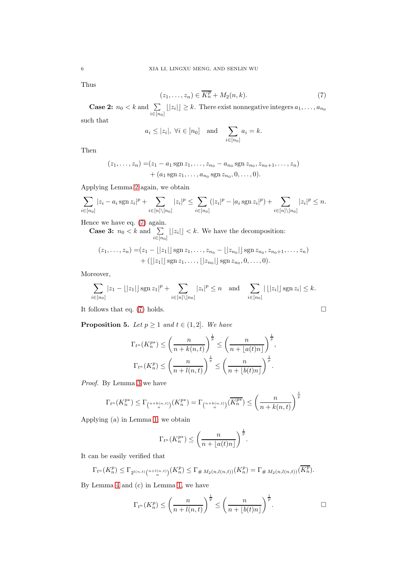Thus

<span id="page-5-0"></span>
$$
(z_1, \ldots, z_n) \in \overline{K_n^p} + M_2(n, k). \tag{7}
$$

**Case 2:**  $n_0 < k$  and  $\sum$  $\sum_{i\in[n_0]}(|z_i|] \geq k$ . There exist nonnegative integers  $a_1, \ldots, a_{n_0}$ such that

$$
a_i \leq |z_i|, \forall i \in [n_0]
$$
 and  $\sum_{i \in [n_0]} a_i = k.$ 

Then

$$
(z_1, \ldots, z_n) = (z_1 - a_1 \operatorname{sgn} z_1, \ldots, z_{n_0} - a_{n_0} \operatorname{sgn} z_{n_0}, z_{n_0+1}, \ldots, z_n) + (a_1 \operatorname{sgn} z_1, \ldots, a_{n_0} \operatorname{sgn} z_{n_0}, 0, \ldots, 0).
$$

Applying Lemma [2](#page-2-0) again, we obtain

$$
\sum_{i \in [n_0]} |z_i - a_i \operatorname{sgn} z_i|^p + \sum_{i \in [n] \setminus [n_0]} |z_i|^p \le \sum_{i \in [n_0]} (|z_i|^p - |a_i \operatorname{sgn} z_i|^p) + \sum_{i \in [n] \setminus [n_0]} |z_i|^p \le n.
$$

Hence we have eq. [\(7\)](#page-5-0) again.

**Case 3:**  $n_0 < k$  and  $\sum$  $\sum_{i \in [n_0]} |z_i| \leq k$ . We have the decomposition:

$$
(z_1, \ldots, z_n) = (z_1 - \lfloor |z_1| \rfloor \operatorname{sgn} z_1, \ldots, z_{n_0} - \lfloor |z_{n_0}| \rfloor \operatorname{sgn} z_{n_0}, z_{n_0+1}, \ldots, z_n)
$$

$$
+ (\lfloor |z_1| \rfloor \operatorname{sgn} z_1, \ldots, \lfloor |z_{n_0}| \rfloor \operatorname{sgn} z_{n_0}, 0, \ldots, 0).
$$

Moreover,

$$
\sum_{i \in [n_0]} |z_1 - \lfloor |z_1| \rfloor \operatorname{sgn} z_1|^p + \sum_{i \in [n] \setminus [n_0]} |z_i|^p \le n \text{ and } \sum_{i \in [n_0]} |\lfloor |z_i| \rfloor \operatorname{sgn} z_i| \le k.
$$

It follows that eq. [\(7\)](#page-5-0) holds.  $\square$ 

<span id="page-5-1"></span>**Proposition 5.** Let  $p \geq 1$  and  $t \in (1, 2]$ . We have

$$
\Gamma_{t^n}(K_n^{p*}) \le \left(\frac{n}{n+k(n,t)}\right)^{\frac{1}{p}} \le \left(\frac{n}{n+\lfloor a(t)n\rfloor}\right)^{\frac{1}{p}},
$$
  

$$
\Gamma_{t^n}(K_n^p) \le \left(\frac{n}{n+l(n,t)}\right)^{\frac{1}{p}} \le \left(\frac{n}{n+\lfloor b(t)n\rfloor}\right)^{\frac{1}{p}}.
$$

Proof. By Lemma [3](#page-3-1) we have

$$
\Gamma_{t^n}(K_n^{p*}) \le \Gamma_{\binom{n+k(n,t)}{n}}(K_n^{p*}) = \Gamma_{\binom{n+k(n,t)}{n}}(\overline{K_n^{p*}}) \le \left(\frac{n}{n+k(n,t)}\right)^{\frac{1}{p}}
$$

Applying (a) in Lemma [1,](#page-2-1) we obtain

$$
\Gamma_{t^n}(K_n^{p*}) \le \left(\frac{n}{n + \lfloor a(t)n \rfloor}\right)^{\frac{1}{p}}.
$$

It can be easily verified that

$$
\Gamma_{t^n}(K_n^p) \leq \Gamma_{2^{l(n,t)}\binom{n+l(n,t)}{n}}(K_n^p) \leq \Gamma_{\#M_2(n,l(n,t))}(K_n^p) = \Gamma_{\#M_2(n,l(n,t))}(\overline{K_n^p}).
$$

By Lemma [4](#page-4-0) and (c) in Lemma [1,](#page-2-1) we have

$$
\Gamma_{t^n}(K_n^p) \le \left(\frac{n}{n + l(n,t)}\right)^{\frac{1}{p}} \le \left(\frac{n}{n + \lfloor b(t)n \rfloor}\right)^{\frac{1}{p}}.
$$

$$
\overline{a}
$$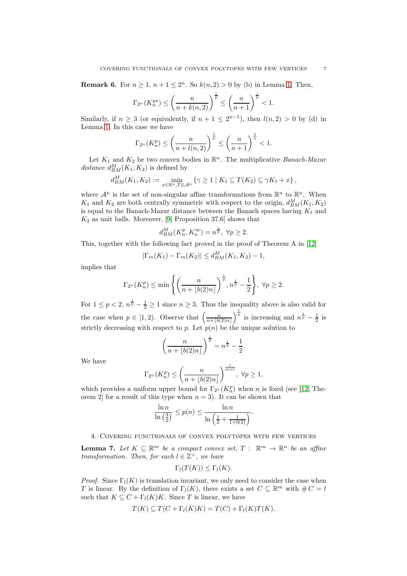**Remark 6.** For  $n \ge 1$ ,  $n + 1 \le 2<sup>n</sup>$ . So  $k(n, 2) > 0$  by (b) in Lemma [1.](#page-2-1) Then,

$$
\Gamma_{2^n}(K_n^{p*}) \le \left(\frac{n}{n+k(n,2)}\right)^{\frac{1}{p}} \le \left(\frac{n}{n+1}\right)^{\frac{1}{p}} < 1.
$$

Similarly, if  $n \geq 3$  (or equivalently, if  $n + 1 \leq 2^{n-1}$ ), then  $l(n, 2) > 0$  by (d) in Lemma [1.](#page-2-1) In this case we have

$$
\Gamma_{2^n}(K_n^p) \le \left(\frac{n}{n+l(n,2)}\right)^{\frac{1}{p}} \le \left(\frac{n}{n+1}\right)^{\frac{1}{p}} < 1.
$$

Let  $K_1$  and  $K_2$  be two convex bodies in  $\mathbb{R}^n$ . The multiplicative *Banach-Mazur* distance  $d_{BM}^M(K_1, K_2)$  is defined by

$$
d_{BM}^M(K_1, K_2) := \min_{x \in \mathbb{R}^n, T \in \mathcal{A}^n} \left\{ \gamma \ge 1 \mid K_1 \subseteq T(K_2) \subseteq \gamma K_1 + x \right\},\
$$

where  $\mathcal{A}^n$  is the set of non-singular affine transformations from  $\mathbb{R}^n$  to  $\mathbb{R}^n$ . When  $K_1$  and  $K_2$  are both centrally symmetric with respect to the origin,  $d_{BM}^M(K_1, K_2)$ is equal to the Banach-Mazur distance between the Banach spaces having  $K_1$  and  $K_2$  as unit balls. Moreover, [\[9,](#page-9-3) Proposition 37.6] shows that

$$
d_{BM}^{M}(K_{n}^{p}, K_{n}^{\infty}) = n^{\frac{1}{p}}, \ \forall p \ge 2.
$$

This, together with the following fact proved in the proof of Theorem A in [\[12\]](#page-9-0)

$$
|\Gamma_m(K_1) - \Gamma_m(K_2)| \le d_{BM}^M(K_1, K_2) - 1,
$$

implies that

$$
\Gamma_{2^n}(K_n^p) \le \min\left\{ \left( \frac{n}{n + \lfloor b(2)n \rfloor} \right)^{\frac{1}{p}}, n^{\frac{1}{p}} - \frac{1}{2} \right\}, \ \forall p \ge 2.
$$

For  $1 \le p < 2$ ,  $n^{\frac{1}{p}} - \frac{1}{2} \ge 1$  since  $n \ge 3$ . Thus the inequality above is also valid for the case when  $p \in [1, 2)$ . Observe that  $\left(\frac{n}{n + \lfloor b(2)n \rfloor}\right)^{\frac{1}{p}}$  is increasing and  $n^{\frac{1}{p}} - \frac{1}{2}$  is strictly decreasing with respect to p. Let  $p(n)$  be the unique solution to

$$
\left(\frac{n}{n+\lfloor b(2)n\rfloor}\right)^{\frac{1}{p}} = n^{\frac{1}{p}} - \frac{1}{2}.
$$

We have

$$
\Gamma_{2^n}(K_n^p) \le \left(\frac{n}{n + \lfloor b(2)n \rfloor}\right)^{\frac{1}{p(n)}}, \ \forall p \ge 1,
$$

which provides a uniform upper bound for  $\Gamma_{2^n}(K_n^p)$  when n is fixed (see [\[12,](#page-9-0) Theorem 2 for a result of this type when  $n = 3$ ). It can be shown that

$$
\frac{\ln n}{\ln\left(\frac{3}{2}\right)} \le p(n) \le \frac{\ln n}{\ln\left(\frac{1}{2} + \frac{1}{1+b(2)}\right)}.
$$

<span id="page-6-0"></span>4. Covering functionals of convex polytopes with few vertices

<span id="page-6-1"></span>**Lemma 7.** Let  $K \subseteq \mathbb{R}^m$  be a compact convex set,  $T : \mathbb{R}^m \to \mathbb{R}^n$  be an affine transformation. Then, for each  $l \in \mathbb{Z}^+$ , we have

$$
\Gamma_l(T(K)) \leq \Gamma_l(K).
$$

*Proof.* Since  $\Gamma_l(K)$  is translation invariant, we only need to consider the case when T is linear. By the definition of  $\Gamma_l(K)$ , there exists a set  $C \subseteq \mathbb{R}^m$  with  $\#C = l$ such that  $K \subseteq C + \Gamma_l(K)K$ . Since T is linear, we have

$$
T(K) \subseteq T(C + \Gamma_l(K)K) = T(C) + \Gamma_l(K)T(K).
$$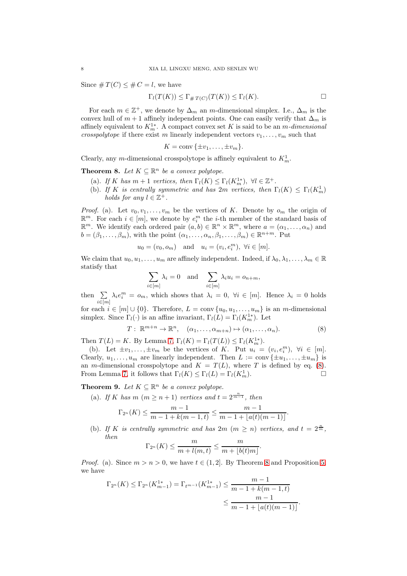Since  $\# T(C) \leq \# C = l$ , we have

$$
\Gamma_l(T(K)) \leq \Gamma_{\# \, T(C)}(T(K)) \leq \Gamma_l(K).
$$

For each  $m \in \mathbb{Z}^+$ , we denote by  $\Delta_m$  an m-dimensional simplex. I.e.,  $\Delta_m$  is the convex hull of  $m + 1$  affinely independent points. One can easily verify that  $\Delta_m$  is affinely equivalent to  $K_m^{1*}$ . A compact convex set K is said to be an m-dimensional crosspolytope if there exist m linearly independent vectors  $v_1, \ldots, v_m$  such that

$$
K = \text{conv}\{\pm v_1, \ldots, \pm v_m\}.
$$

<span id="page-7-1"></span>Clearly, any m-dimensional crosspolytope is affinely equivalent to  $K_m^1$ .

**Theorem 8.** Let  $K \subseteq \mathbb{R}^n$  be a convex polytope.

- (a). If K has  $m+1$  vertices, then  $\Gamma_l(K) \leq \Gamma_l(K_m^1)$ ,  $\forall l \in \mathbb{Z}^+$ .
- (b). If K is centrally symmetric and has  $2m$  vertices, then  $\Gamma_l(K) \leq \Gamma_l(K_m^1)$ holds for any  $l \in \mathbb{Z}^+$ .

*Proof.* (a). Let  $v_0, v_1, \ldots, v_m$  be the vertices of K. Denote by  $o_m$  the origin of  $\mathbb{R}^m$ . For each  $i \in [m]$ , we denote by  $e_i^m$  the *i*-th member of the standard basis of  $\mathbb{R}^m$ . We identify each ordered pair  $(a, b) \in \mathbb{R}^n \times \mathbb{R}^m$ , where  $a = (\alpha_1, \dots, \alpha_n)$  and  $b = (\beta_1, \ldots, \beta_m)$ , with the point  $(\alpha_1, \ldots, \alpha_n, \beta_1, \ldots, \beta_m) \in \mathbb{R}^{n+m}$ . Put

$$
u_0 = (v_0, o_m)
$$
 and  $u_i = (v_i, e_i^m)$ ,  $\forall i \in [m]$ .

We claim that  $u_0, u_1, \ldots, u_m$  are affinely independent. Indeed, if  $\lambda_0, \lambda_1, \ldots, \lambda_m \in \mathbb{R}$ statisfy that

$$
\sum_{i \in [m]} \lambda_i = 0 \text{ and } \sum_{i \in [m]} \lambda_i u_i = o_{n+m},
$$

then  $\Sigma$  $i \in [m]$  $\lambda_i e_i^m = o_m$ , which shows that  $\lambda_i = 0$ ,  $\forall i \in [m]$ . Hence  $\lambda_i = 0$  holds for each  $i \in [m] \cup \{0\}$ . Therefore,  $L = \text{conv}\{u_0, u_1, \ldots, u_m\}$  is an m-dimensional

simplex. Since  $\Gamma_l(\cdot)$  is an affine invariant,  $\Gamma_l(L) = \Gamma_l(K_m^{1*})$ . Let

<span id="page-7-0"></span>
$$
T: \mathbb{R}^{m+n} \to \mathbb{R}^n, \quad (\alpha_1, \ldots, \alpha_{m+n}) \mapsto (\alpha_1, \ldots, \alpha_n). \tag{8}
$$

Then  $T(L) = K$ . By Lemma [7,](#page-6-1)  $\Gamma_l(K) = \Gamma_l(T(L)) \leq \Gamma_l(K_m^{1*})$ .

(b). Let  $\pm v_1, \ldots, \pm v_m$  be the vertices of K. Put  $u_i = (v_i, e_i^m), \forall i \in [m]$ . Clearly,  $u_1, \ldots, u_m$  are linearly independent. Then  $L := \text{conv} \{ \pm u_1, \ldots, \pm u_m \}$  is an *m*-dimensional crosspolytope and  $K = T(L)$ , where T is defined by eq. [\(8\)](#page-7-0). From Lemma [7,](#page-6-1) it follows that  $\Gamma_l(K) \leq \Gamma_l(L) = \Gamma_l(K_m^1)$ .  $\binom{1}{m}$ .

<span id="page-7-2"></span>**Theorem 9.** Let  $K \subseteq \mathbb{R}^n$  be a convex polytope.

(a). If K has  $m (m \ge n+1)$  vertices and  $t = 2^{\frac{n}{m-1}}$ , then

$$
\Gamma_{2^n}(K) \leq \frac{m-1}{m-1+k(m-1,t)} \leq \frac{m-1}{m-1+\lfloor a(t)(m-1)\rfloor}.
$$

(b). If K is centrally symmetric and has  $2m$   $(m \geq n)$  vertices, and  $t = 2^{\frac{n}{m}}$ , then

$$
\Gamma_{2^n}(K) \leq \frac{m}{m+l(m,t)} \leq \frac{m}{m+\lfloor b(t)m\rfloor}.
$$

*Proof.* (a). Since  $m > n > 0$ , we have  $t \in (1, 2]$ . By Theorem [8](#page-7-1) and Proposition [5,](#page-5-1) we have

$$
\Gamma_{2^n}(K) \leq \Gamma_{2^n}(K_{m-1}^{1*}) = \Gamma_{t^{m-1}}(K_{m-1}^{1*}) \leq \frac{m-1}{m-1+k(m-1,t)}
$$
  

$$
\leq \frac{m-1}{m-1+\lfloor a(t)(m-1) \rfloor}.
$$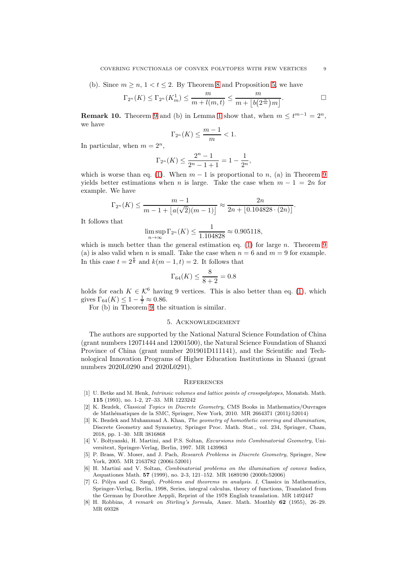(b). Since  $m \geq n, 1 < t \leq 2$ . By Theorem [8](#page-7-1) and Proposition [5,](#page-5-1) we have

$$
\Gamma_{2^n}(K) \leq \Gamma_{2^n}(K_m^1) \leq \frac{m}{m + l(m,t)} \leq \frac{m}{m + \lfloor b(2^{\frac{n}{m}})m \rfloor}.
$$

**Remark [1](#page-2-1)0.** Theorem [9](#page-7-2) and (b) in Lemma 1 show that, when  $m \leq t^{m-1} = 2^n$ , we have

$$
\Gamma_{2^n}(K) \le \frac{m-1}{m} < 1.
$$

In particular, when  $m = 2^n$ ,

$$
\Gamma_{2^n}(K) \le \frac{2^n - 1}{2^n - 1 + 1} = 1 - \frac{1}{2^n},
$$

which is worse than eq. [\(1\)](#page-0-0). When  $m-1$  is proportional to n, (a) in Theorem [9](#page-7-2) yields better estimations when n is large. Take the case when  $m - 1 = 2n$  for example. We have

$$
\Gamma_{2^n}(K) \le \frac{m-1}{m-1 + \lfloor a(\sqrt{2})(m-1) \rfloor} \approx \frac{2n}{2n + \lfloor 0.104828 \cdot (2n) \rfloor}.
$$

It follows that

$$
\limsup_{n \to \infty} \Gamma_{2^n}(K) \le \frac{1}{1.104828} \approx 0.905118,
$$

which is much better than the general estimation eq.  $(1)$  for large n. Theorem [9](#page-7-2) (a) is also valid when n is small. Take the case when  $n = 6$  and  $m = 9$  for example. In this case  $t = 2^{\frac{6}{8}}$  and  $k(m-1, t) = 2$ . It follows that

$$
\Gamma_{64}(K) \le \frac{8}{8+2} = 0.8
$$

holds for each  $K \in \mathcal{K}^6$  having 9 vertices. This is also better than eq. [\(1\)](#page-0-0), which gives  $\Gamma_{64}(K) \leq 1 - \frac{1}{7} \approx 0.86$ .

For (b) in Theorem [9,](#page-7-2) the situation is similar.

#### 5. Acknowledgement

The authors are supported by the National Natural Science Foundation of China (grant numbers 12071444 and 12001500), the Natural Science Foundation of Shanxi Province of China (grant number 201901D111141), and the Scientific and Technological Innovation Programs of Higher Education Institutions in Shanxi (grant numbers 2020L0290 and 2020L0291).

#### **REFERENCES**

- <span id="page-8-7"></span>[1] U. Betke and M. Henk, Intrinsic volumes and lattice points of crosspolytopes, Monatsh. Math. 115 (1993), no. 1-2, 27–33. MR 1223242
- <span id="page-8-3"></span>[2] K. Bezdek, Classical Topics in Discrete Geometry, CMS Books in Mathematics/Ouvrages de Math´ematiques de la SMC, Springer, New York, 2010. MR 2664371 (2011j:52014)
- <span id="page-8-4"></span>[3] K. Bezdek and Muhammad A. Khan, The geometry of homothetic covering and illumination, Discrete Geometry and Symmetry, Springer Proc. Math. Stat., vol. 234, Springer, Cham, 2018, pp. 1–30. MR 3816868
- <span id="page-8-0"></span>[4] V. Boltyanski, H. Martini, and P.S. Soltan, Excursions into Combinatorial Geometry, Universitext, Springer-Verlag, Berlin, 1997. MR 1439963
- <span id="page-8-2"></span>[5] P. Brass, W. Moser, and J. Pach, Research Problems in Discrete Geometry, Springer, New York, 2005. MR 2163782 (2006i:52001)
- <span id="page-8-1"></span>[6] H. Martini and V. Soltan, Combinatorial problems on the illumination of convex bodies, Aequationes Math. 57 (1999), no. 2-3, 121–152. MR 1689190 (2000b:52006)
- <span id="page-8-6"></span>[7] G. Pólya and G. Szegő, Problems and theorems in analysis. I, Classics in Mathematics, Springer-Verlag, Berlin, 1998, Series, integral calculus, theory of functions, Translated from the German by Dorothee Aeppli, Reprint of the 1978 English translation. MR 1492447
- <span id="page-8-5"></span>[8] H. Robbins, A remark on Stirling's formula, Amer. Math. Monthly 62 (1955), 26–29. MR 69328